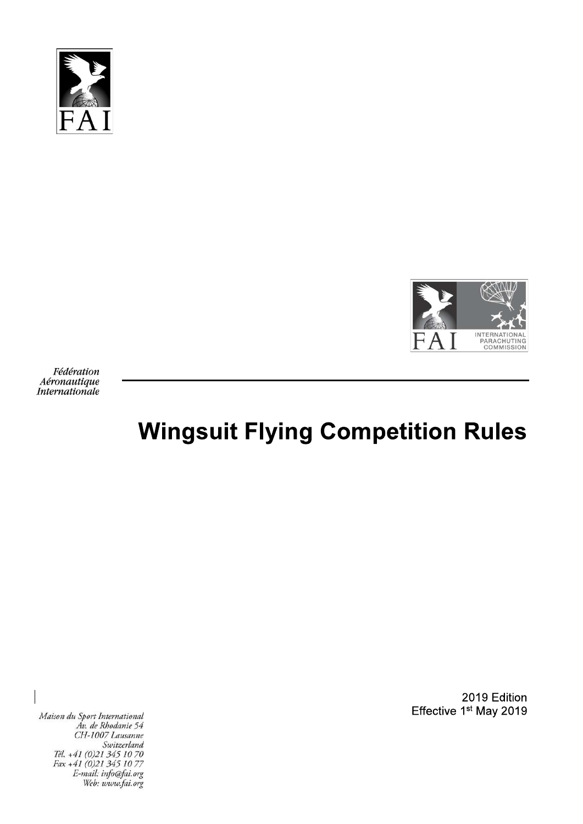



Fédération Aéronautique **Internationale** 

# **Wingsuit Flying Competition Rules**

Maison du Sport International Av. de Rhodanie 54<br>CH-1007 Lausanne Switzerland Tél. +41 (0)21 345 10 70 Fax +41 (0)21 345 10 77<br>E-mail: info@fai.org Web: www.fai.org

2019 Edition Effective 1st May 2019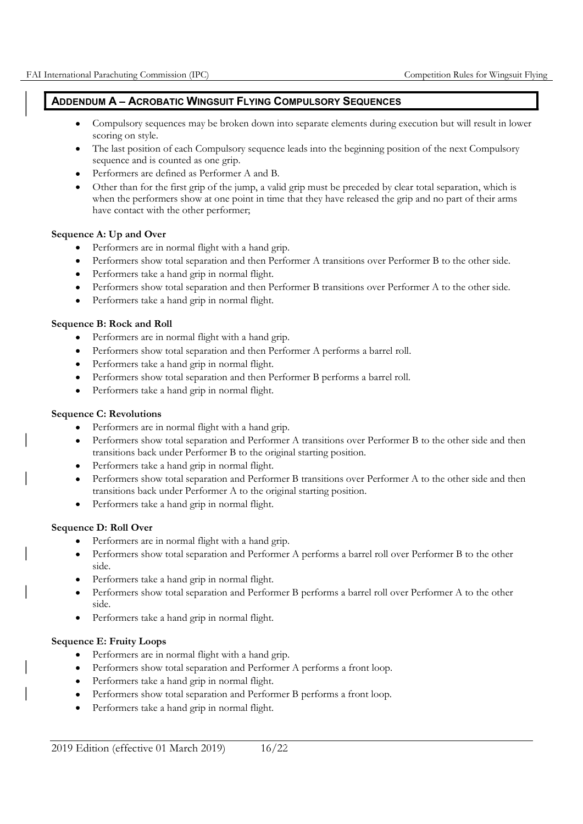## ADDENDUM A - ACROBATIC WINGSUIT FLYING COMPULSORY SEQUENCES

- Compulsory sequences may be broken down into separate elements during execution but will result in lower scoring on style.
- The last position of each Compulsory sequence leads into the beginning position of the next Compulsory sequence and is counted as one grip.
- Performers are defined as Performer A and B.
- Other than for the first grip of the jump, a valid grip must be preceded by clear total separation, which is when the performers show at one point in time that they have released the grip and no part of their arms have contact with the other performer;

#### Sequence A: Up and Over

- Performers are in normal flight with a hand grip.
- Performers show total separation and then Performer A transitions over Performer B to the other side.
- Performers take a hand grip in normal flight.
- Performers show total separation and then Performer B transitions over Performer A to the other side.
- Performers take a hand grip in normal flight.

#### Sequence B: Rock and Roll

- Performers are in normal flight with a hand grip.
- Performers show total separation and then Performer A performs a barrel roll.
- Performers take a hand grip in normal flight.
- Performers show total separation and then Performer B performs a barrel roll.
- Performers take a hand grip in normal flight.  $\bullet$

#### Sequence C: Revolutions

- Performers are in normal flight with a hand grip.
- Performers show total separation and Performer A transitions over Performer B to the other side and then transitions back under Performer B to the original starting position.
- Performers take a hand grip in normal flight.  $\bullet$
- Performers show total separation and Performer B transitions over Performer A to the other side and then transitions back under Performer A to the original starting position.
- Performers take a hand grip in normal flight.  $\bullet$

## Sequence D: Roll Over

- Performers are in normal flight with a hand grip.
- Performers show total separation and Performer A performs a barrel roll over Performer B to the other side.
- Performers take a hand grip in normal flight.
- Performers show total separation and Performer B performs a barrel roll over Performer A to the other side.
- Performers take a hand grip in normal flight.

## Sequence E: Fruity Loops

- Performers are in normal flight with a hand grip.  $\bullet$
- Performers show total separation and Performer A performs a front loop.
- Performers take a hand grip in normal flight.
- Performers show total separation and Performer B performs a front loop.
- Performers take a hand grip in normal flight.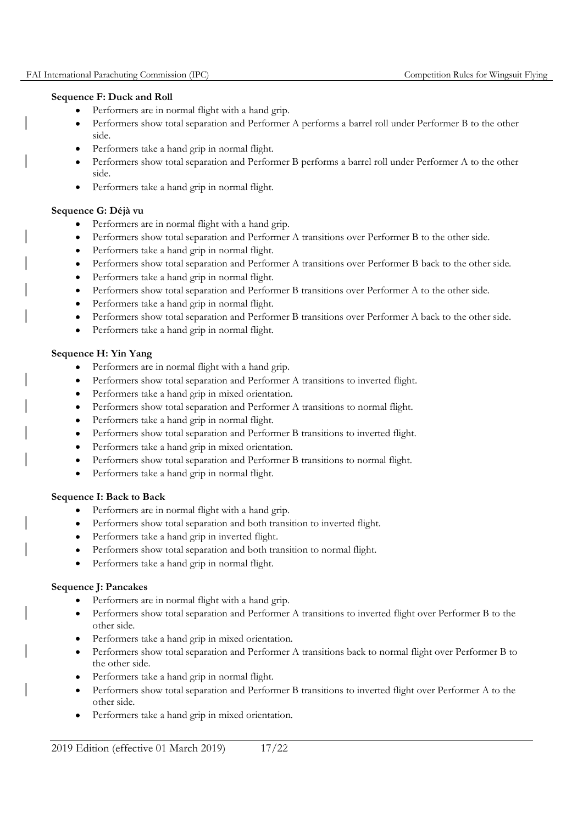#### Sequence F: Duck and Roll

- Performers are in normal flight with a hand grip.
- Performers show total separation and Performer A performs a barrel roll under Performer B to the other side.
- Performers take a hand grip in normal flight.
- Performers show total separation and Performer B performs a barrel roll under Performer A to the other side.
- Performers take a hand grip in normal flight.

## Sequence G: Déjà vu

- Performers are in normal flight with a hand grip.
- Performers show total separation and Performer A transitions over Performer B to the other side.  $\bullet$
- Performers take a hand grip in normal flight.
- Performers show total separation and Performer A transitions over Performer B back to the other side.
- Performers take a hand grip in normal flight.
- Performers show total separation and Performer B transitions over Performer A to the other side.  $\bullet$
- Performers take a hand grip in normal flight.
- Performers show total separation and Performer B transitions over Performer A back to the other side.
- Performers take a hand grip in normal flight.  $\bullet$

## Sequence H: Yin Yang

- Performers are in normal flight with a hand grip.
- Performers show total separation and Performer A transitions to inverted flight.
- Performers take a hand grip in mixed orientation.  $\bullet$
- Performers show total separation and Performer A transitions to normal flight.
- Performers take a hand grip in normal flight.
- Performers show total separation and Performer B transitions to inverted flight.
- Performers take a hand grip in mixed orientation.  $\bullet$
- Performers show total separation and Performer B transitions to normal flight.  $\bullet$
- Performers take a hand grip in normal flight.

## Sequence I: Back to Back

- Performers are in normal flight with a hand grip.
- Performers show total separation and both transition to inverted flight.
- Performers take a hand grip in inverted flight.
- Performers show total separation and both transition to normal flight.
- Performers take a hand grip in normal flight.

## Sequence J: Pancakes

- Performers are in normal flight with a hand grip.
- Performers show total separation and Performer A transitions to inverted flight over Performer B to the other side.
- Performers take a hand grip in mixed orientation.
- Performers show total separation and Performer A transitions back to normal flight over Performer B to the other side.
- Performers take a hand grip in normal flight.
- Performers show total separation and Performer B transitions to inverted flight over Performer A to the other side.
- Performers take a hand grip in mixed orientation.